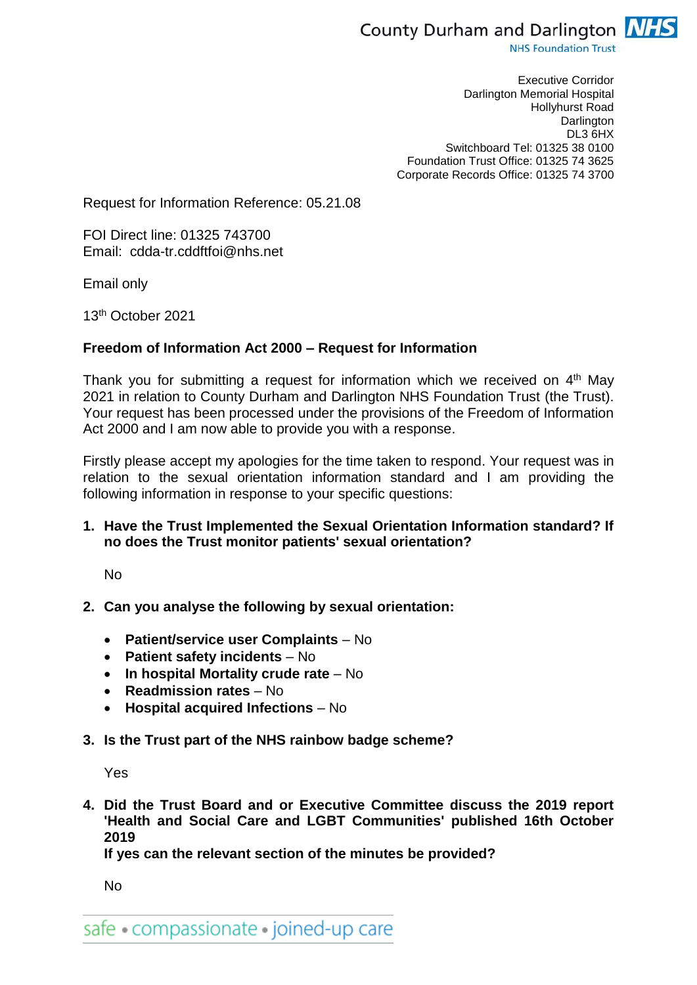

**NHS Foundation Trust** 

Executive Corridor Darlington Memorial Hospital Hollyhurst Road **Darlington** DL3 6HX Switchboard Tel: 01325 38 0100 Foundation Trust Office: 01325 74 3625 Corporate Records Office: 01325 74 3700

Request for Information Reference: 05.21.08

FOI Direct line: 01325 743700 Email: cdda-tr.cddftfoi@nhs.net

Email only

13th October 2021

## **Freedom of Information Act 2000 – Request for Information**

Thank you for submitting a request for information which we received on 4<sup>th</sup> May 2021 in relation to County Durham and Darlington NHS Foundation Trust (the Trust). Your request has been processed under the provisions of the Freedom of Information Act 2000 and I am now able to provide you with a response.

Firstly please accept my apologies for the time taken to respond. Your request was in relation to the sexual orientation information standard and I am providing the following information in response to your specific questions:

**1. Have the Trust Implemented the Sexual Orientation Information standard? If no does the Trust monitor patients' sexual orientation?**

No

## **2. Can you analyse the following by sexual orientation:**

- **Patient/service user Complaints**  No
- **Patient safety incidents** No
- **In hospital Mortality crude rate** No
- **Readmission rates**  No
- **Hospital acquired Infections** No
- **3. Is the Trust part of the NHS rainbow badge scheme?**

Yes

**4. Did the Trust Board and or Executive Committee discuss the 2019 report 'Health and Social Care and LGBT Communities' published 16th October 2019** 

**If yes can the relevant section of the minutes be provided?**

No